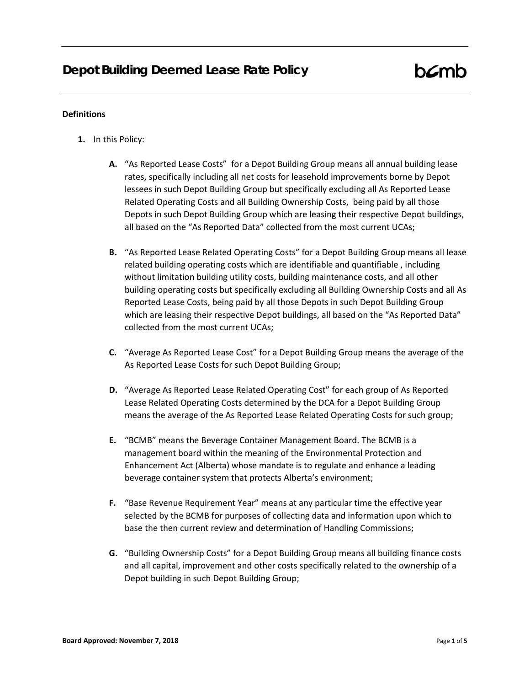#### **Definitions**

- **1.** In this Policy:
	- **A.** "As Reported Lease Costs" for a Depot Building Group means all annual building lease rates, specifically including all net costs for leasehold improvements borne by Depot lessees in such Depot Building Group but specifically excluding all As Reported Lease Related Operating Costs and all Building Ownership Costs, being paid by all those Depots in such Depot Building Group which are leasing their respective Depot buildings, all based on the "As Reported Data" collected from the most current UCAs;
	- **B.** "As Reported Lease Related Operating Costs" for a Depot Building Group means all lease related building operating costs which are identifiable and quantifiable , including without limitation building utility costs, building maintenance costs, and all other building operating costs but specifically excluding all Building Ownership Costs and all As Reported Lease Costs, being paid by all those Depots in such Depot Building Group which are leasing their respective Depot buildings, all based on the "As Reported Data" collected from the most current UCAs;
	- **C.** "Average As Reported Lease Cost" for a Depot Building Group means the average of the As Reported Lease Costs for such Depot Building Group;
	- **D.** "Average As Reported Lease Related Operating Cost" for each group of As Reported Lease Related Operating Costs determined by the DCA for a Depot Building Group means the average of the As Reported Lease Related Operating Costs for such group;
	- **E.** "BCMB" means the Beverage Container Management Board. The BCMB is a management board within the meaning of the Environmental Protection and Enhancement Act (Alberta) whose mandate is to regulate and enhance a leading beverage container system that protects Alberta's environment;
	- **F.** "Base Revenue Requirement Year" means at any particular time the effective year selected by the BCMB for purposes of collecting data and information upon which to base the then current review and determination of Handling Commissions;
	- **G.** "Building Ownership Costs" for a Depot Building Group means all building finance costs and all capital, improvement and other costs specifically related to the ownership of a Depot building in such Depot Building Group;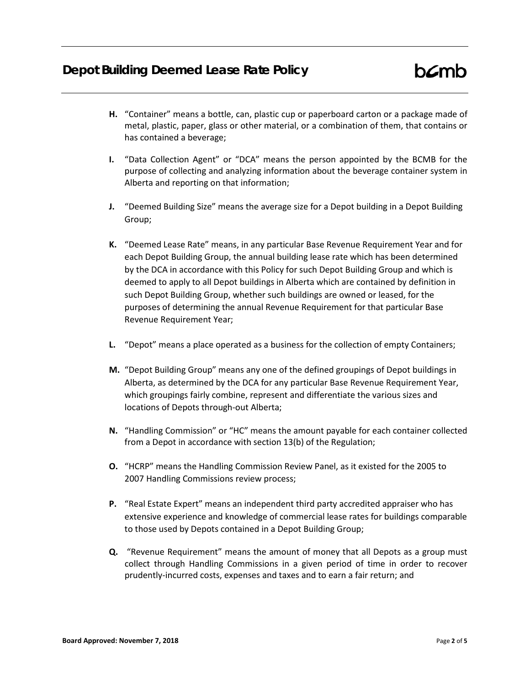## **Depot Building Deemed Lease Rate Policy**

- **H.** "Container" means a bottle, can, plastic cup or paperboard carton or a package made of metal, plastic, paper, glass or other material, or a combination of them, that contains or has contained a beverage;
- **I.** "Data Collection Agent" or "DCA" means the person appointed by the BCMB for the purpose of collecting and analyzing information about the beverage container system in Alberta and reporting on that information;
- **J.** "Deemed Building Size" means the average size for a Depot building in a Depot Building Group;
- **K.** "Deemed Lease Rate" means, in any particular Base Revenue Requirement Year and for each Depot Building Group, the annual building lease rate which has been determined by the DCA in accordance with this Policy for such Depot Building Group and which is deemed to apply to all Depot buildings in Alberta which are contained by definition in such Depot Building Group, whether such buildings are owned or leased, for the purposes of determining the annual Revenue Requirement for that particular Base Revenue Requirement Year;
- **L.** "Depot" means a place operated as a business for the collection of empty Containers;
- **M.** "Depot Building Group" means any one of the defined groupings of Depot buildings in Alberta, as determined by the DCA for any particular Base Revenue Requirement Year, which groupings fairly combine, represent and differentiate the various sizes and locations of Depots through-out Alberta;
- **N.** "Handling Commission" or "HC" means the amount payable for each container collected from a Depot in accordance with section 13(b) of the Regulation;
- **O.** "HCRP" means the Handling Commission Review Panel, as it existed for the 2005 to 2007 Handling Commissions review process;
- **P.** "Real Estate Expert" means an independent third party accredited appraiser who has extensive experience and knowledge of commercial lease rates for buildings comparable to those used by Depots contained in a Depot Building Group;
- **Q.** "Revenue Requirement" means the amount of money that all Depots as a group must collect through Handling Commissions in a given period of time in order to recover prudently-incurred costs, expenses and taxes and to earn a fair return; and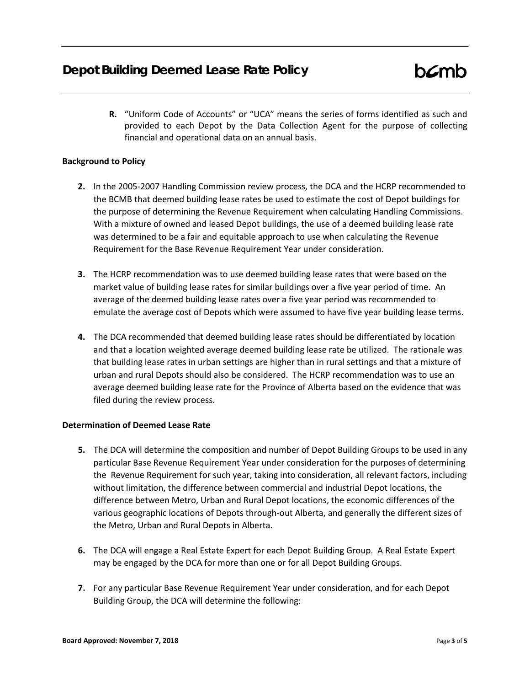**R.** "Uniform Code of Accounts" or "UCA" means the series of forms identified as such and provided to each Depot by the Data Collection Agent for the purpose of collecting financial and operational data on an annual basis.

### **Background to Policy**

- **2.** In the 2005-2007 Handling Commission review process, the DCA and the HCRP recommended to the BCMB that deemed building lease rates be used to estimate the cost of Depot buildings for the purpose of determining the Revenue Requirement when calculating Handling Commissions. With a mixture of owned and leased Depot buildings, the use of a deemed building lease rate was determined to be a fair and equitable approach to use when calculating the Revenue Requirement for the Base Revenue Requirement Year under consideration.
- **3.** The HCRP recommendation was to use deemed building lease rates that were based on the market value of building lease rates for similar buildings over a five year period of time. An average of the deemed building lease rates over a five year period was recommended to emulate the average cost of Depots which were assumed to have five year building lease terms.
- **4.** The DCA recommended that deemed building lease rates should be differentiated by location and that a location weighted average deemed building lease rate be utilized. The rationale was that building lease rates in urban settings are higher than in rural settings and that a mixture of urban and rural Depots should also be considered. The HCRP recommendation was to use an average deemed building lease rate for the Province of Alberta based on the evidence that was filed during the review process.

### **Determination of Deemed Lease Rate**

- **5.** The DCA will determine the composition and number of Depot Building Groups to be used in any particular Base Revenue Requirement Year under consideration for the purposes of determining the Revenue Requirement for such year, taking into consideration, all relevant factors, including without limitation, the difference between commercial and industrial Depot locations, the difference between Metro, Urban and Rural Depot locations, the economic differences of the various geographic locations of Depots through-out Alberta, and generally the different sizes of the Metro, Urban and Rural Depots in Alberta.
- **6.** The DCA will engage a Real Estate Expert for each Depot Building Group. A Real Estate Expert may be engaged by the DCA for more than one or for all Depot Building Groups.
- **7.** For any particular Base Revenue Requirement Year under consideration, and for each Depot Building Group, the DCA will determine the following: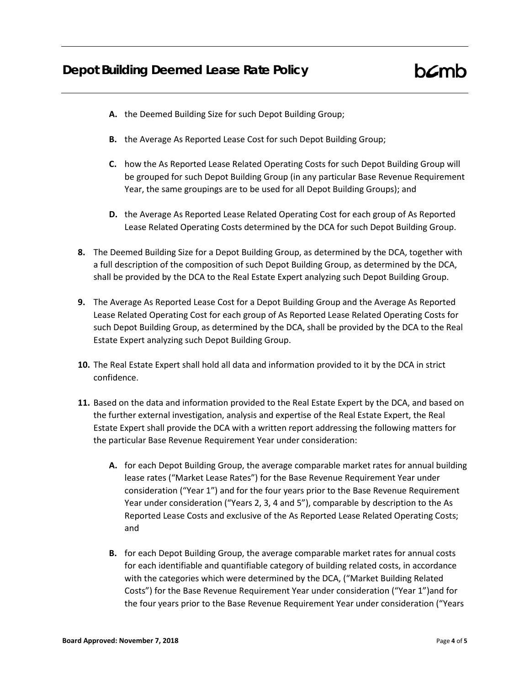# **Depot Building Deemed Lease Rate Policy**

- **A.** the Deemed Building Size for such Depot Building Group;
- **B.** the Average As Reported Lease Cost for such Depot Building Group;
- **C.** how the As Reported Lease Related Operating Costs for such Depot Building Group will be grouped for such Depot Building Group (in any particular Base Revenue Requirement Year, the same groupings are to be used for all Depot Building Groups); and
- **D.** the Average As Reported Lease Related Operating Cost for each group of As Reported Lease Related Operating Costs determined by the DCA for such Depot Building Group.
- **8.** The Deemed Building Size for a Depot Building Group, as determined by the DCA, together with a full description of the composition of such Depot Building Group, as determined by the DCA, shall be provided by the DCA to the Real Estate Expert analyzing such Depot Building Group.
- **9.** The Average As Reported Lease Cost for a Depot Building Group and the Average As Reported Lease Related Operating Cost for each group of As Reported Lease Related Operating Costs for such Depot Building Group, as determined by the DCA, shall be provided by the DCA to the Real Estate Expert analyzing such Depot Building Group.
- **10.** The Real Estate Expert shall hold all data and information provided to it by the DCA in strict confidence.
- **11.** Based on the data and information provided to the Real Estate Expert by the DCA, and based on the further external investigation, analysis and expertise of the Real Estate Expert, the Real Estate Expert shall provide the DCA with a written report addressing the following matters for the particular Base Revenue Requirement Year under consideration:
	- **A.** for each Depot Building Group, the average comparable market rates for annual building lease rates ("Market Lease Rates") for the Base Revenue Requirement Year under consideration ("Year 1") and for the four years prior to the Base Revenue Requirement Year under consideration ("Years 2, 3, 4 and 5"), comparable by description to the As Reported Lease Costs and exclusive of the As Reported Lease Related Operating Costs; and
	- **B.** for each Depot Building Group, the average comparable market rates for annual costs for each identifiable and quantifiable category of building related costs, in accordance with the categories which were determined by the DCA, ("Market Building Related Costs") for the Base Revenue Requirement Year under consideration ("Year 1")and for the four years prior to the Base Revenue Requirement Year under consideration ("Years